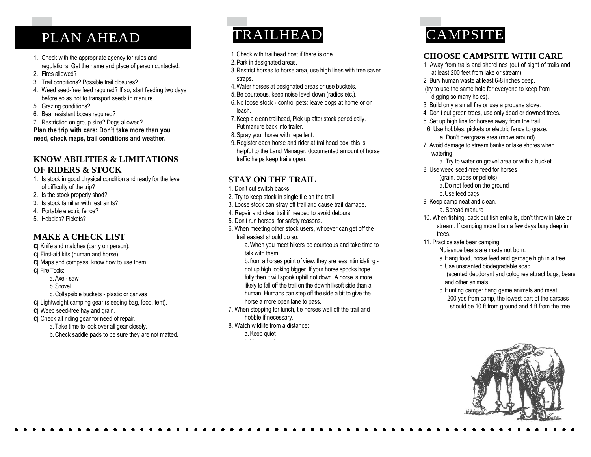### PLAN AHEAD

- 1. Check with the appropriate agency for rules and regulations. Get the name and place of person contacted.
- 2. Fires allowed?
- 3. Trail conditions? Possible trail closures?
- 4. Weed seed-free feed required? If so, start feeding two days before so as not to transport seeds in manure.
- 5. Grazing conditions?
- 6. Bear resistant boxes required?

7. Restriction on group size? Dogs allowed? **Plan the trip with care: Don't take more than you need, check maps, trail conditions and weather.**

#### **KNOW ABILITIES & LIMITATIONS OF RIDERS & STOCK**

- 1. Is stock in good physical condition and ready for the level of difficulty of the trip?
- 2. Is the stock properly shod?
- 3. Is stock familiar with restraints?
- 4. Portable electric fence?
- 5. Hobbles? Pickets?

#### **MAKE A CHECK LIST**

- **q** Knife and matches (carry on person). **q** First-aid kits (human and horse). **q** Maps and compass, know how to use them. **q** Fire Tools: a.Axe - saw b.Shovel
	- c. Collapsible buckets plastic or canvas
- **q** Lightweight camping gear (sleeping bag, food, tent).
- **q** Weed seed-free hay and grain.
- **q** Check all riding gear for need of repair.
	- a.Take time to look over all gear closely. b.Check saddle pads to be sure they are not matted.

# TRAILHEAD

- 1.Check with trailhead host if there is one.
- 2.Park in designated areas.
- 3.Restrict horses to horse area, use high lines with tree saver straps.
- 4.Water horses at designated areas or use buckets.
- 5.Be courteous, keep noise level down (radios etc.).
- 6.No loose stock control pets: leave dogs at home or on leash.
- 7.Keep a clean trailhead, Pick up after stock periodically. Put manure back into trailer.
- 8.Spray your horse with repellent.
- 9.Register each horse and rider at trailhead box, this is helpful to the Land Manager, documented amount of horse traffic helps keep trails open.

#### **STAY ON THE TRAIL**

- 1. Don't cut switch backs.
- 2. Try to keep stock in single file on the trail.
- 3. Loose stock can stray off trail and cause trail damage.
- 4. Repair and clear trail if needed to avoid detours.
- 5. Don't run horses, for safety reasons.
- 6. When meeting other stock users, whoever can get off the trail easiest should do so.

a.When you meet hikers be courteous and take time to talk with them.

b. from a horses point of view: they are less intimidating not up high looking bigger. If your horse spooks hope fully then it will spook uphill not down. A horse is more likely to fall off the trail on the downhill/soft side than a human. Humans can step off the side a bit to give the horse a more open lane to pass.

- 7. When stopping for lunch, tie horses well off the trail and hobble if necessary.
- 8. Watch wildlife from a distance:

a.Keep quiet b.Keep moving

# **CAMPSITE**

#### **CHOOSE CAMPSITE WITH CARE**

- 1. Away from trails and shorelines (out of sight of trails and at least 200 feet from lake or stream).
- 2. Bury human waste at least 6-8 inches deep.
- (try to use the same hole for everyone to keep from digging so many holes).
- 3. Build only a small fire or use a propane stove.
- 4. Don't cut green trees, use only dead or downed trees.
- 5. Set up high line for horses away from the trail.
- 6. Use hobbles, pickets or electric fence to graze. a. Don't overgraze area (move around)
- 7. Avoid damage to stream banks or lake shores when watering.
- a. Try to water on gravel area or with a bucket
- 8. Use weed seed-free feed for horses
	- (grain, cubes or pellets) a.Do not feed on the ground
	- b.Use feed bags
- 9. Keep camp neat and clean.
- a. Spread manure
- 10. When fishing, pack out fish entrails, don't throw in lake or stream. If camping more than a few days bury deep in trees.
- 11. Practice safe bear camping:

Nuisance bears are made not born.

a.Hang food, horse feed and garbage high in a tree.

- b.Use unscented biodegradable soap (scented deodorant and colognes attract bugs, bears
- and other animals. c. Hunting camps: hang game animals and meat 200 yds from camp, the lowest part of the carcass should be 10 ft from ground and 4 ft from the tree.